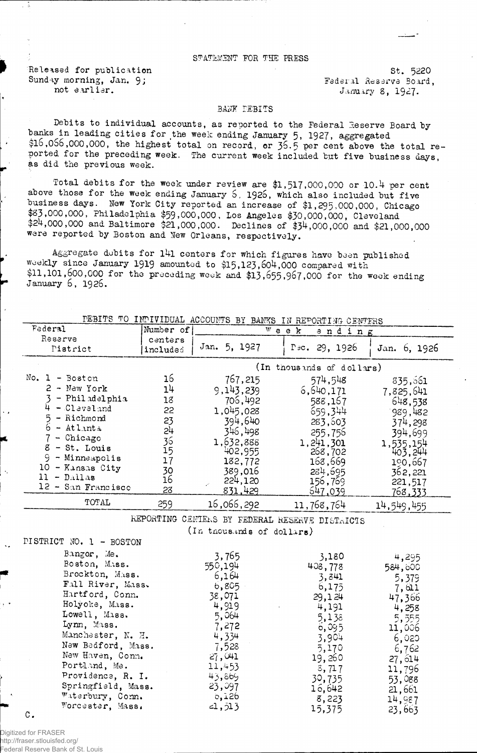## STATEMENT FOR THE PRESS

Released for publication St. 5220 Sunday morning, Jan. 9; Sunday Federal Reserve Board,

not earlier.  $J$ anuary 8, 1927.

5,138 5,555<br>6,095 11,006

3,904 6,020 5,170 6,762 19, 260 27,614 s,717 11,796<br>30,735 53,088

16,642 21,661<br>8,223 14,987

53,088

14,987<br>23,663

 $6,095$ 

15,375

## BANK DEBITS

Debits to individual accounts, as reported to the Federal Reserve Board by banks in leading cities for the week ending January 5, 1927. aggregated \$10,056,000,000, the highest total on record, or 36.5 per cent above the total reported for the preceding week. The current week included but five business days, as did the previous week.

Total debits for the week under review are \$1,517,000,000 or 10.4 per cent above those for the week ending January 5, 1925, which also included but five business days. Hew York City reported an increase of \$1,295,000,000, Chicago \$83,000,000, Philadelphia \$59,000,000, Los Angeles \$30,000^,000, Cleveland \$24,000,000 and Baltimore \$21,000,000. Declines of \$34,000,000 and \$21,000,000 were reported by Boston and New Orleans, respectively.

Aggregate debits for 141 centers for which figures have been published weekly since January 1919 amounted to \$15,123,604,000 compared with \$11,101,600,000 for the preceding week and \$13,655,967,000 for the week ending January 6, 1926.

| DEBITS TO INDIVIDUAL ACCOUNTS BY BANKS IN REPORTING CENTERS                                                                                                                                                                         |                                                                      |                                                                                                                                        |                                                                                                                                        |                                                                                                                                      |  |
|-------------------------------------------------------------------------------------------------------------------------------------------------------------------------------------------------------------------------------------|----------------------------------------------------------------------|----------------------------------------------------------------------------------------------------------------------------------------|----------------------------------------------------------------------------------------------------------------------------------------|--------------------------------------------------------------------------------------------------------------------------------------|--|
| <b>Federal</b>                                                                                                                                                                                                                      | Number of                                                            |                                                                                                                                        | $W$ e e $k$<br>ending                                                                                                                  |                                                                                                                                      |  |
| Reserve<br>Pistrict                                                                                                                                                                                                                 | centers<br>included                                                  | Jan. 5, 1927                                                                                                                           | $r \text{ } zc. 29, 1926$                                                                                                              | Jan. 6, 1926                                                                                                                         |  |
| (In thousands of dollars)                                                                                                                                                                                                           |                                                                      |                                                                                                                                        |                                                                                                                                        |                                                                                                                                      |  |
| No. $1 - Boston$<br>$2 - New York$<br>- Phil adelphia<br>$-$ Clavel and<br>4<br>5<br>- Richmond<br>6<br>$-$ Atlanta<br>- Chicago<br>8<br>- St. Louis<br>9<br>- Minneapolis<br>10<br>- Kansas City<br>$11 - D$<br>12 - San Francisco | 16<br>14<br>18<br>22<br>23<br>54<br>36<br>15<br>17<br>30<br>16<br>23 | 767,215<br>9,143,239<br>706,492<br>1,045,028<br>394,640<br>346,498<br>1,632,888<br>402,955<br>182,772<br>389,016<br>224,120<br>831,429 | 574,548<br>6,640,171<br>588,167<br>659,344<br>283,503<br>255,756<br>1, 241, 301<br>268,702<br>168,669<br>284,695<br>156,769<br>647.039 | 835,561<br>7,825,641<br>648,538<br>989,482<br>374,298<br>394,699<br>1,535,154<br>403,244<br>190,667<br>362,221<br>221,517<br>768,333 |  |
| TOTAL                                                                                                                                                                                                                               | 259                                                                  | 16,066,292                                                                                                                             | 11,768,764                                                                                                                             | 14,549,455                                                                                                                           |  |
| REPORTING CENTERS BY FEDERAL RESERVE DISTRICTS<br>(In thousands of dollars)<br>DISTRICT NO. 1 - BOSTON                                                                                                                              |                                                                      |                                                                                                                                        |                                                                                                                                        |                                                                                                                                      |  |
| Bangor, Me.<br>Boston, M.ss.<br>Brockton, Mass.<br>Fall River, Mass.<br>Hartford, Conn.<br>Holyoke, Mass.<br>$T \sim 11$ $M \sim 1$                                                                                                 |                                                                      | 3,765<br>550,194<br>6,164<br>6,805<br>38,071<br>4,919<br>$\sim$ $\sim$ $\sim$                                                          | 3,180<br>408,778<br>3,841<br>6,175<br>29,124<br>4,191                                                                                  | 4,295<br>584,600<br>5,379<br>7,611<br>47,366<br>4,258                                                                                |  |

064 7,272 4,334 7,528 27,041 11,453 43,8b9 23,097 b,I2b  $-1,513$ 

C.

Digitized for FRASER http://fraser.stlouisfed.org/ Federal Reserve Bank of St. Louis

Lowell, Mass. Lynn, Mass.

Manchester, K. H. New Bedford, Mass, New Haven, Conn. Portland, Me. Providence, R. I. Springfield, Mass. Waterbury, Conn. Worcester, Mass.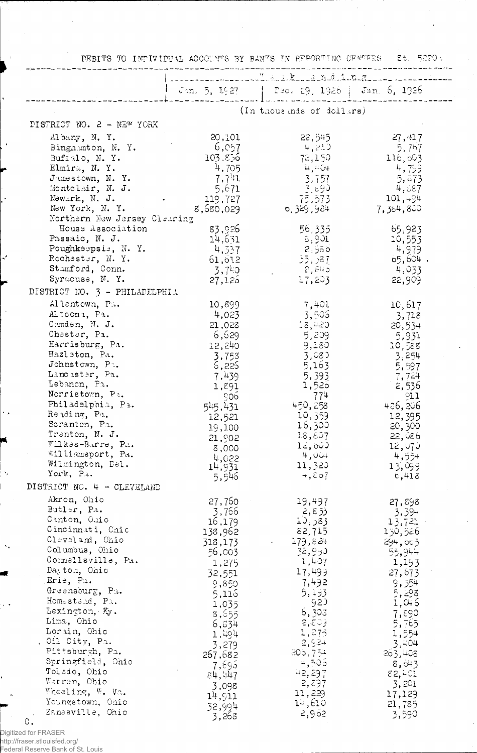| DEBITS TO INDIVIDUAL ACCOUNTS BY BANKS IN REPORTING CENTERS                                                                                                                                                                                                                                                                                                                                                 |                                                                                                                                                                                                                  |                                                                                                                                                                                                                |                                                                                                                                                                                                                 |  |
|-------------------------------------------------------------------------------------------------------------------------------------------------------------------------------------------------------------------------------------------------------------------------------------------------------------------------------------------------------------------------------------------------------------|------------------------------------------------------------------------------------------------------------------------------------------------------------------------------------------------------------------|----------------------------------------------------------------------------------------------------------------------------------------------------------------------------------------------------------------|-----------------------------------------------------------------------------------------------------------------------------------------------------------------------------------------------------------------|--|
|                                                                                                                                                                                                                                                                                                                                                                                                             | ------ -------- T. k_ _ g _ n d _ i _ n _ g _ _                                                                                                                                                                  |                                                                                                                                                                                                                |                                                                                                                                                                                                                 |  |
|                                                                                                                                                                                                                                                                                                                                                                                                             |                                                                                                                                                                                                                  | Jin. 5, 1927   Pec. 19, 1926   Jan. 6, 1926                                                                                                                                                                    |                                                                                                                                                                                                                 |  |
|                                                                                                                                                                                                                                                                                                                                                                                                             |                                                                                                                                                                                                                  | (In thousands of dollars)                                                                                                                                                                                      |                                                                                                                                                                                                                 |  |
| DISTRICT NO. 2 - NEW YORK                                                                                                                                                                                                                                                                                                                                                                                   |                                                                                                                                                                                                                  |                                                                                                                                                                                                                |                                                                                                                                                                                                                 |  |
| Albany, N. Y.<br>Bingn.unton, N. Y.<br>Buffalo, N.Y.<br>Elmira, N.Y.<br>Jamestown, N. Y.<br>Montclair, N. J.<br>Newark, N. J.<br>New York, N. Y.                                                                                                                                                                                                                                                            | 20,101<br>6,057<br>103.856<br>4,705<br>$7,7+1$<br>5,671<br>119,727<br>8,580,029                                                                                                                                  | 22,545<br>4,211<br>72,150<br>4,804<br>3,757<br>3,890<br>75,573<br>6,329,984                                                                                                                                    | 27,417<br>5,757<br>116,603<br>4,759<br>5,873<br>4,887<br>101,494<br>7,354,800                                                                                                                                   |  |
| Northern New Jersey Clearing<br>House Association<br>Passaic, N. J.<br>Poughkeepsie, N.Y.<br>Rochester, N.Y.<br>Stamford, Conn.<br>Syracuse, N. Y.                                                                                                                                                                                                                                                          | 83,926<br>14,631<br>4,337<br>61,612<br>3,740<br>27,125                                                                                                                                                           | 56,335<br>8,901<br>8,980<br>35,387<br>- 2,845 -<br>17,203                                                                                                                                                      | 65,923<br>10,553<br>4,979<br>$65,604$ .<br>4,033<br>22,909                                                                                                                                                      |  |
| DISTRICT NO. $3$ - PHILADELPHIA                                                                                                                                                                                                                                                                                                                                                                             |                                                                                                                                                                                                                  |                                                                                                                                                                                                                |                                                                                                                                                                                                                 |  |
| Allentown, Pa.<br>Altoona, Pa.<br>Camden, N. J.<br>Chester, Pa.<br>Harrisburg, Pa.<br>Hazleton, Pa.<br>Johnstown, $P^2$ .<br>Lancister, Pa.<br>Lebanon, Pa.<br>Norristown, Pa.<br>Philadelphia, Pa.<br>Reading, Pa.<br>Scranton, Pa.<br>Trenton, N. J.<br>Wilkes-Barre, Pa.<br>Williamsport, Pa.<br>Wilmington, Del.<br>York, Pa.                                                                           | 10,899<br>4,023<br>21,028<br>6,629<br>12,240<br>3,753<br>6,225<br>7,439<br>1,891<br>၄၀၆.<br>545,431<br>12,521<br>19,100<br>21,902<br>8,000<br>4,022<br>14,931                                                    | 7,401<br>3,505<br>18,420<br>5,209<br>9,180<br>3,080<br>5,163<br>5,393<br>1,520<br>774<br>450,258<br>10,359<br>16,300<br>18,807<br>$1\epsilon, \infty$<br>4,004<br>11,320<br>4,807                              | 10,617<br>3,718<br>20,534<br>5,931<br>10,588<br>3,254<br>5,597<br>7,724<br>2,536<br>Q11<br>486,806<br>12,395<br>20, 300<br>22,086<br>12,070<br>4,554<br>13,099                                                  |  |
| DISTRICT NO. 4 - CLEVELAND                                                                                                                                                                                                                                                                                                                                                                                  | 5,546                                                                                                                                                                                                            |                                                                                                                                                                                                                | 6,413                                                                                                                                                                                                           |  |
| Akron, Ohio<br>Butler, Pa.<br>Canton, Ohio<br>Cincinnati, Chic<br>Cleveland, Ohio<br>Columbus, Ohio<br>Connellsville, Pa.<br>Dayton, Ohio<br>Erie, Pa.<br>Greensburg, Pa.<br>Homestead, Pa.<br>Lexington, Ky.<br>Lima, Ohio<br>Lorain, Chio<br>, Oil City, Pa.<br>Pittsburgh, Pa.<br>Springfield, Ohio<br>Tolado, Ohio<br>Warren, Ohio<br>Wheeling, W. Va.<br>Youngstown, Ohio<br>Zanesville, Ohio<br>$C$ . | 27,760<br>3,766<br>16,179<br>138,962<br>318,173<br>56,003<br>1,275<br>32,551<br>9,850<br>5,116<br>1,035<br>8,555<br>6,634<br>1,494<br>3,279<br>267,682<br>7,695<br>g4, 447<br>3,098<br>14,911<br>32,994<br>3,268 | 19,497<br>2, 8, 5<br>33ر,01<br>82,715<br>179,824<br>32,950<br>1,407<br>17,499<br>7,492<br>5,193<br>92)<br>6,303<br>2, 80<br>1,275<br>2,524<br>205,754<br>4,505<br>42,297<br>2,837<br>11,229<br>14,610<br>2,962 | 27,898<br>3,394<br>13,721<br>150,526<br>294,003<br>55,944<br>1,193<br>27,673<br>9,554<br>5,298<br>1,046<br>7,890<br>5,765<br>1,554<br>3,404<br>263,408<br>8,643<br>82,401<br>3,201<br>17,129<br>21,785<br>3,590 |  |

 $\bar{\beta}$ 

 $\bar{z}$ 

Digitized for FRASER<br>http://fraser.stlouisfed.org/<br>Federal Reserve Bank of St. Louis

 $\bar{z}$ 

 $\ddot{\phantom{0}}$ 

 $\overline{a}$ 

 $\ddot{\phantom{0}}$ 

 $\tilde{\mathcal{F}}_j$ 

 $\ddotsc$ 

 $\ddot{\phantom{1}}$ 

¥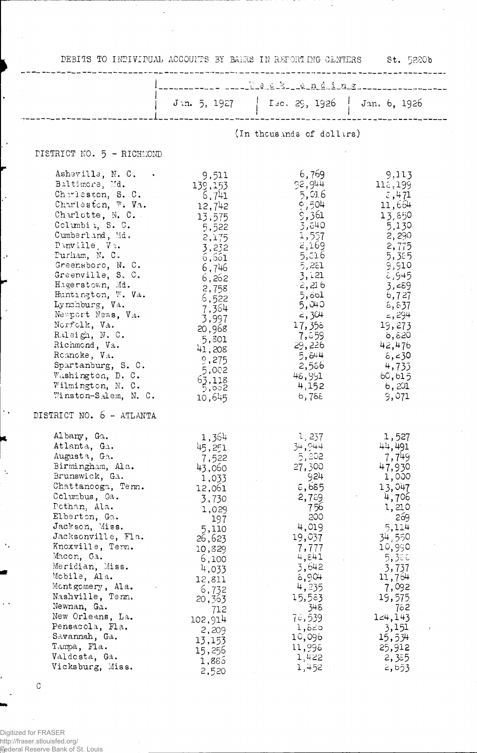DEBITS TO INDIVIDUAL ACCOUNTS BY BANKS IN REPORTING CENTERS St. 5220b (In thous ands of dollars) **PISTRICT NO. 5 - RICHMOND** TRICT NO. 5 - RICHMOND<br>
Ashevills, N. C. (9,511<br>
Baltimors, Md. 139,153<br>
Charleston, S. C. 6,741<br>
Charleston, W. Vo. 12,742<br>
Charleston, W. Vo. 12,742<br>
Charleston, W. 12,742<br>
Cumberland, Md. 5. 5,522<br>
Cumberland, Md. 2,175 6,769 9,113  $\begin{array}{r} 116,199 \\ 2,471 \\ 11,664 \end{array}$  $92,944$ <br>5,016<br>9,504 0, 504<br>5, 564<br>5, 557<br>5, 557<br>5, 557<br>5, 557<br>5, 552<br>5, 504<br>5, 304<br>5, 304<br>5, 304<br>5, 304<br>7, 358 13,850  $1,300$ <br>  $5,130$ <br>  $2,290$ <br>  $5,775$ <br>  $5,59$ <br>  $5,94$ <br>  $5,727$ <br>  $5,727$  $6,727$ <br>  $6,837$ <br>  $=,294$ <br>  $19,273$ <br>  $6,820$ <br>  $42,476$  $5,040$ <br>  $2,304$ <br>  $17,356$ <br>  $7,659$ <br>  $29,226$ <br>  $5,844$ <br>  $2,566$ <br>  $46,991$ <br>  $4,152$ <br>  $6,768$  $6,230$ <br>4,733 60,615 6,201 9,071 DISTRICT NO. 6 - ATLANTA Albany, Ga. 1,364<br>
Atlanta, Ga. 45,251<br>
Augusta, Ga. 7,522<br>
Birmingham, Ala. 1,566<br>
Brunswick, Ga. 1,033<br>
Chattanooga, Tem. 12,061<br>
Columbus, Ga. 3,730<br>
Pothan, Ala. 1,029<br>
Elberton, Ga. 197<br>
Jacksonville, Fla. 26,623<br>
Kno 1, 237<br>34, 044<br>5, 202  $1,527$ 1,527<br>44,491<br>2,716  $34,944$ <br>  $5,202$ <br>  $27,300$ <br>  $22,309$ <br>  $26,685$ <br>  $2,756$ <br>  $200$ <br>  $4,019$ <br>  $19,037$ <br>  $7,777$ <br>  $4,844$ <br>  $3,642$ <br>  $4,235$ <br>  $5,648$ <br>  $6,904$ <br>  $5,523$ <br>  $1,235$ <br>  $15,523$ <br>  $15,523$ <br>  $15,523$ <br>  $1,620$ <br>  $1,9996$ <br>  $1,9996$ <br>  $1,422$  $7,749$ 47,930 1,000 13,047 4,706 1,210 - 269  $5,114$ 34,550<br>10,990 Xnoxville, renn.<br>
Macon, Ga. 6,100<br>
Meridian, Miss. 6,100<br>
Meridian, Miss. 4,033<br>
Mobile, Ala. 12,811<br>
Montgomery, Ala. 6,732<br>
Nashville, Tem. 20,363<br>
Newnan, Ga. 712  $10,990$ <br>  $5,388$ <br>  $3,737$ <br>  $11,764$ <br>  $7,092$ <br>  $19,575$ <br>  $124,143$ <br>  $3,151$ Nashville, Tenn.<br>
Newnan, Ga. 712<br>
New Orleans, La. 712<br>
Pensacola, Fla. 102,914<br>
Pensacola, Fla. 2,209<br>
Savannah, Ga. 13,153<br>
Tampa, Fla. 15,256<br>
Valdesta, Ga. 1,885<br>
Vicksburg, Miss. 2,520 3,151<br>15,534 25,912  $\frac{2}{2}, \frac{3}{5}$ 

 $\overline{C}$ 

Digitized for FRASER http://fraser.stlouisfed.org/ **Federal Reserve Bank of St. Louis**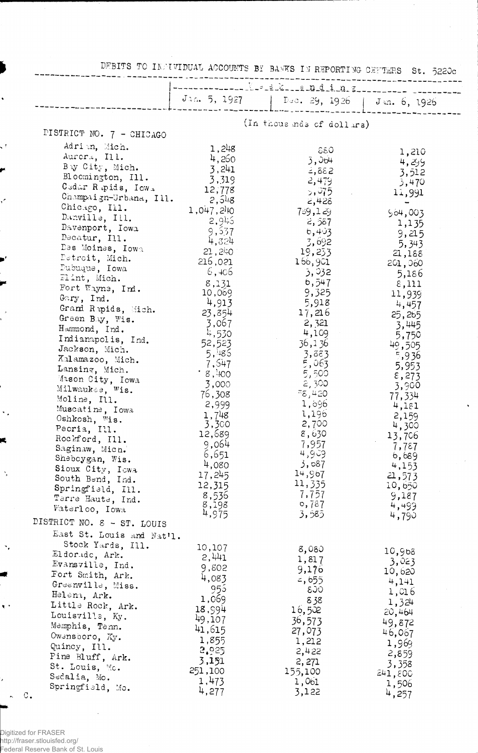|                                         | DEBITS TO INDIVIDUAL ACCOUNTS BY BANKS IN REPORTING CENTERS St. 5220c |                                             |                  |  |  |
|-----------------------------------------|-----------------------------------------------------------------------|---------------------------------------------|------------------|--|--|
|                                         |                                                                       |                                             |                  |  |  |
|                                         |                                                                       | Jia. 5, 1927   Dec. 29, 1926   Jin. 6, 1926 |                  |  |  |
|                                         | (In thous mds of dollars)                                             |                                             |                  |  |  |
| PISTRICT NO. 7 - CHICAGO                |                                                                       |                                             |                  |  |  |
| Adrim, Mich.                            | 1,248                                                                 | - 880                                       |                  |  |  |
| Aurora, Ill.                            | 4,260                                                                 | 3,064                                       | 1,210<br>4,299   |  |  |
| By City, Mich.                          | 3,241                                                                 | $= 3882$                                    | 3,512            |  |  |
| Bloomington, Ill.                       | 3,319                                                                 | 2,479                                       | 3,470            |  |  |
| Cedar Rapids, Iowa                      | 12,778                                                                | 5,975                                       | 11,991           |  |  |
| Champaign-Urbana, Ill.<br>Chicago, Ill. | 2,548                                                                 | 2,428                                       |                  |  |  |
| Danville, Ill.                          | 1,047,210                                                             | 789,129                                     | 504,003          |  |  |
| Davenport, Iowa                         | 2,9!5<br>9,537                                                        | 2,587                                       | 1,135            |  |  |
| Decatur, Ill.                           | 4,324                                                                 | 6,403<br>-3,692                             | 9,215            |  |  |
| Des Moines, Iowa                        | 21,240                                                                | 19,233                                      | 5,343<br>21,188  |  |  |
| Detroit, Mich.                          | 216,021                                                               | 166,901                                     | 201,060          |  |  |
| Pubuque, Iowa                           | 6,406                                                                 | 3,932                                       | 5,186            |  |  |
| Flint, Mich.                            | 8,131                                                                 | b, 547                                      | $\epsilon$ , 111 |  |  |
| Fort Wayne, Ind.<br>$G\cap ry$ , Ind.   | 10,069                                                                | 9,325                                       | 11,939           |  |  |
| Grand Rapids, Mich.                     | 4,913                                                                 | 5,918                                       | 4,457            |  |  |
| Green Bay, Wis.                         | 23,854                                                                | 17,216                                      | 25,265           |  |  |
| Hammond, Ind.                           | 3,067                                                                 | 2,321                                       | 3,445            |  |  |
| Indianapolis, Ind.                      | 4,530<br>52,523                                                       | 4,109                                       | 5,750            |  |  |
| Jackson, Mich.                          | 5,485                                                                 | 36,136<br>3,883                             | 49,505           |  |  |
| Kalamazoo, Mich.                        | 7,547                                                                 | 5,063                                       | 5,936<br>5,953   |  |  |
| Lansing, Mich.                          | .8,400                                                                | -5,500                                      | $\epsilon$ , 273 |  |  |
| Mason City, Iowa                        | 3,000                                                                 | -2,300                                      | 3,900            |  |  |
| Milwaukee, Wis.<br>Moline, Ill.         | 76,308                                                                | 58,420                                      | 77,334           |  |  |
| Muscatine, Iowa                         | 2,999                                                                 | 1,696                                       | 4,181            |  |  |
| Oshkosh, Wis.                           | 1,748                                                                 | 1,196                                       | 2,159            |  |  |
| Peoria, Ill.                            | 3,300<br>12,689                                                       | 2,700                                       | 4,300            |  |  |
| Rockford, Ill.                          | 9,064                                                                 | 8,630<br>7,957                              | 13,706           |  |  |
| Saginaw, Mich.                          | 6,651                                                                 | 4,909                                       | 7,787<br>6,689   |  |  |
| Sheboygan, Wis.                         | 4,080                                                                 | 3,087                                       | 4,153            |  |  |
| Sioux City, Iowa<br>South Bend, Ind.    | 17,245                                                                | 14,967                                      | 21,573           |  |  |
| Springfield, Ill.                       | 12,315                                                                | 11,335                                      | 10,650           |  |  |
| Terre Haute, Ind.                       | 8,536                                                                 | 7,757                                       | 9,187            |  |  |
| Waterloo, Iowa                          | 8,198                                                                 | 0,787                                       | 4,499            |  |  |
| DISTRICT NO. 8 - ST. LOUIS              | 4,975                                                                 | 3,585                                       | 4,790            |  |  |
| East St. Louis and Nat'l.               |                                                                       |                                             |                  |  |  |
| Stock Yards, Ill.                       | 10,107                                                                | 8,080                                       |                  |  |  |
| Eldorado, Ark.                          | 2,441                                                                 | 1,817                                       | 10,968           |  |  |
| Evansville, Ind.                        | 9,802                                                                 | 9,176                                       | 3,023<br>10,620  |  |  |
| Fort Smith, Ark.                        | 4,083                                                                 | $=$ , 655                                   | 4,141            |  |  |
| Greenville, Miss.                       | 955                                                                   | ିଠେ                                         | 1,016            |  |  |
| Helena, Ark.<br>Little Rock, Ark.       | 1,069                                                                 | 838                                         | 1,324            |  |  |
| Louisville, Ky.                         | 18,994                                                                | 16,502                                      | 20,464           |  |  |
| Memphis, Tenn.                          | 49,107                                                                | 36,573                                      | 49,872           |  |  |
| Owensboro, Ky.                          | 41,615<br>1,855                                                       | 27,073                                      | 46,067           |  |  |
| Quincy, Ill.                            | 2,925                                                                 | 1,212                                       | 1,969            |  |  |
| Pine Bluff, Ark.                        | 3,151                                                                 | 2,422<br>2,271                              | 2,859            |  |  |
| St. Louis, Mo.                          | 251,100                                                               | 155,100                                     | 3,358<br>241,800 |  |  |
| Sedalia, Mo.                            | 1,473                                                                 | 1,061                                       | 1,506            |  |  |
| Springfield, Mo.<br>$\mathbb C$ .       | 4,277                                                                 | 3,122                                       | 4,257            |  |  |

 $\hat{\boldsymbol{\beta}}$ 

ł,

 $\bar{\gamma}$ 

Digitized for FRASER<br>http://fraser.stlouisfed.org/<br>Federal Reserve Bank of St. Louis

 $\hat{\boldsymbol{\beta}}$ 

 $\ddot{\phantom{0}}$ 

k, f

í

 $\cdot$ 

 $\hat{\mathcal{F}}_k$ 

R

 $\ddot{\cdot}$ 

 $\mathcal{F}_p$ 

 $\bar{\mathbf{v}}$  ,

 $\cdot$ 

 $\ddot{\phantom{1}}$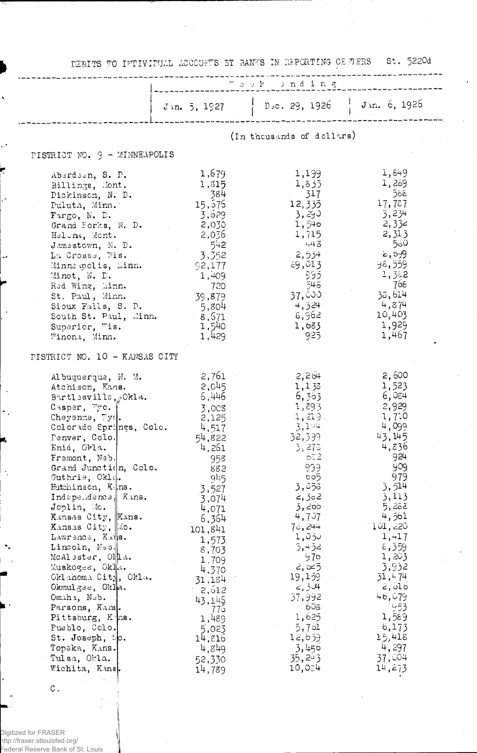DEBITS TO INTIVIDUAL ACCOUNTS BY BANKS IN REPORTING CELTERS St. 5220d "a a k and ing Jin. 5, 1927 | Dsc. 29, 1926 | Jin. 6, 1926 (In thousands of dollars) PISTRICT NO. 9 - MINNEAPOLIS ntud No. 5 - Markkan Olio<br>
Aberdson, S. D. 1,679<br>
Billings, Mont. 1,315<br>
Dickinson, N. D. 384<br>
Pulutn, Minn. 15,576<br>
Fargo, N. D. 3,629<br>
Grand Forks, N. D. 2,030<br>
Helen, Mont. 2,030<br>
Helen, Mont. 2,036<br>
Janestown, N. D. 54 1,  $z_9$ <br>
1,  $z_8$ <br>
1,  $z_9$ <br>
1,  $z_9$ <br>
1,  $z_1$ <br>
1,  $z_1$ <br>
1,  $z_1$ <br>
2,  $3$ <br>
2,  $3$ <br>
2,  $3$ <br>
2,  $3$ <br>
2,  $3$ <br>
2,  $3$ <br>
2,  $3$ <br>
2,  $5$ <br>
3,  $5$ <br>
3,  $76$ <br>
3,  $76$ <br>
3,  $76$ <br>
3,  $76$ <br>
3,  $76$ <br>
3,  $4$ <br>
10,  $40$ <br>
1,  $929$ <br>
1,  $46$ 1,849 1,199  $1,335$ <br> $12,335$ <br> $3,35$ <br> $3,35$ <br> $1,540$ <br> $1,715$  $1,835$ 1,715  $443$  $2,534$ <br>  $3,534$ <br>  $59,013$ <br>  $595$ <br>  $545$ <br>  $37,000$ <br>  $4,324$ <br>  $5,962$  $1,683$ <br>925 PISTRICT NO. 10 - KANSAS CITY Albuquerque, N. M. 2,761<br>
Atchison, Kans. 2,045<br>
Bartlssvills, Okla. 6,446<br>
Casper, Wo. 3,008<br>
Cheyenne, Wy. 2,125<br>
Colorado Springs, Colo. 4,517<br>
Penver, Colo. 54,822<br>
Enid, Okla. 4,261<br>
Fremont, Neb. 958  $2,264$ <br>  $1,133$ <br>  $6,353$ <br>  $1,293$ <br>  $1,219$ <br>  $3,144$ <br>  $32,399$ <br>  $275$ <br>  $3,275$ <br>  $62$ 2, 600<br>1, 523<br>6, 084<br>2, 929<br>1, 710<br>4, 099 Penver, Colo.<br>Enid, Okla.<br>Fremont, Neb. 43,145 7,022<br>
Unit, Neb.<br>
(Grand Junction, Colo.<br>
(1,261<br>
(1,261<br>
(1,261<br>
(1,021).<br>
Euthinson, K<sub>2</sub> ms.<br>
1,577<br>
Independence<br>
Mansa City, Kans.<br>
(1,071<br>
Kansas City, Kans.<br>
(1,577<br>
Kansas City, Ko.<br>
1,577<br>
Lincoln, Neb.<br>
1,579<br>
M  $4,836$  $rac{65}{2}$  $-924$ 939 909  $605$ 979  $3,053$ <br>  $2,302$ <br>  $3,302$  $\frac{3}{3}, \frac{514}{112}$ 3,113<br>5,288  $\frac{1}{3}$ , 200<br>4, 707 4,561  $101,220$ 78,244  $1,050$  $\frac{1,417}{5,359}$  $3,452$ <br>976<br>2, 025<br>2, 304<br>2, 304<br>2, 392<br>57, 992<br>602  $1,203$ <br> $3,932$  $31, 474$ 2,olb CRIMISSE, CRIME.<br>
Comaha, Neb.<br>
Parsons, Kans.<br>
Pittsburg, Kans.<br>
Pittsburg, Kans.<br>
Pueblo, Cclo.<br>
St. Joseph, No.<br>
Topeka, Kans.<br>
Tulsa, Okla.<br>
Wichita. Kans.<br>
Pueblo.<br>
14,216<br>
Tulsa, Okla.<br>
14,216<br>
Tulsa, Okla.<br>
14,216<br>  $46,679$  $(1, 7)$ <br>  $-625$ <br>  $1, 625$ <br>  $5, 761$ <br>  $12, 659$ <br>  $3, 456$ <br>  $35, 243$ <br>  $10, 024$  $\begin{array}{r} \begin{array}{c} 953 \\ 1,589 \end{array} \\ 6,173 \end{array}$  $15,418$ <br>4, 297<br>37, 004<br>14, 273 Wichita, Kane. 14,789

С.

Digitized for FRASER http://fraser.stlouisfed.org/ Federal Reserve Bank of St. Louis